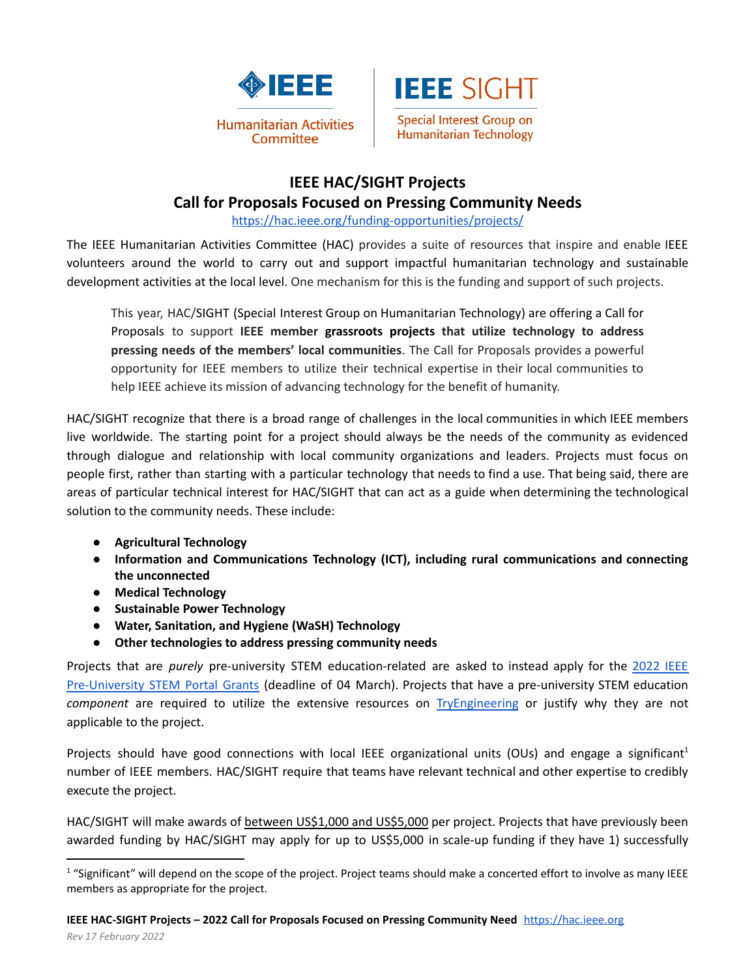



#### **IEEE HAC/SIGHT Projects Call for Proposals Focused on Pressing Community Needs**

<https://hac.ieee.org/funding-opportunities/projects/>

The IEEE Humanitarian Activities Committee (HAC) provides a suite of resources that inspire and enable IEEE volunteers around the world to carry out and support impactful humanitarian technology and sustainable development activities at the local level. One mechanism for this is the funding and support of such projects.

This year, HAC/SIGHT (Special Interest Group on Humanitarian Technology) are offering a Call for Proposals to support **IEEE member grassroots projects that utilize technology to address pressing needs of the members' local communities**. The Call for Proposals provides a powerful opportunity for IEEE members to utilize their technical expertise in their local communities to help IEEE achieve its mission of advancing technology for the benefit of humanity.

HAC/SIGHT recognize that there is a broad range of challenges in the local communities in which IEEE members live worldwide. The starting point for a project should always be the needs of the community as evidenced through dialogue and relationship with local community organizations and leaders. Projects must focus on people first, rather than starting with a particular technology that needs to find a use. That being said, there are areas of particular technical interest for HAC/SIGHT that can act as a guide when determining the technological solution to the community needs. These include:

- **● Agricultural Technology**
- **● Information and Communications Technology (ICT), including rural communications and connecting the unconnected**
- **● Medical Technology**
- **● Sustainable Power Technology**
- **● Water, Sanitation, and Hygiene (WaSH) Technology**
- **● Other technologies to address pressing community needs**

Projects that are *purely* pre-university STEM education-related are asked to instead apply for the [2022](https://tryengineering.org/news/ieee-pre-university-stem-portal-grants-2022-accepting-applications/) IEEE [Pre-University](https://tryengineering.org/news/ieee-pre-university-stem-portal-grants-2022-accepting-applications/) STEM Portal Grants (deadline of 04 March). Projects that have a pre-university STEM education *component* are required to utilize the extensive resources on [TryEngineering](https://tryengineering.org/) or justify why they are not applicable to the project.

Projects should have good connections with local IEEE organizational units (OUs) and engage a significant<sup>1</sup> number of IEEE members. HAC/SIGHT require that teams have relevant technical and other expertise to credibly execute the project.

HAC/SIGHT will make awards of between US\$1,000 and US\$5,000 per project. Projects that have previously been awarded funding by HAC/SIGHT may apply for up to US\$5,000 in scale-up funding if they have 1) successfully

<sup>&</sup>lt;sup>1</sup> "Significant" will depend on the scope of the project. Project teams should make a concerted effort to involve as many IEEE members as appropriate for the project.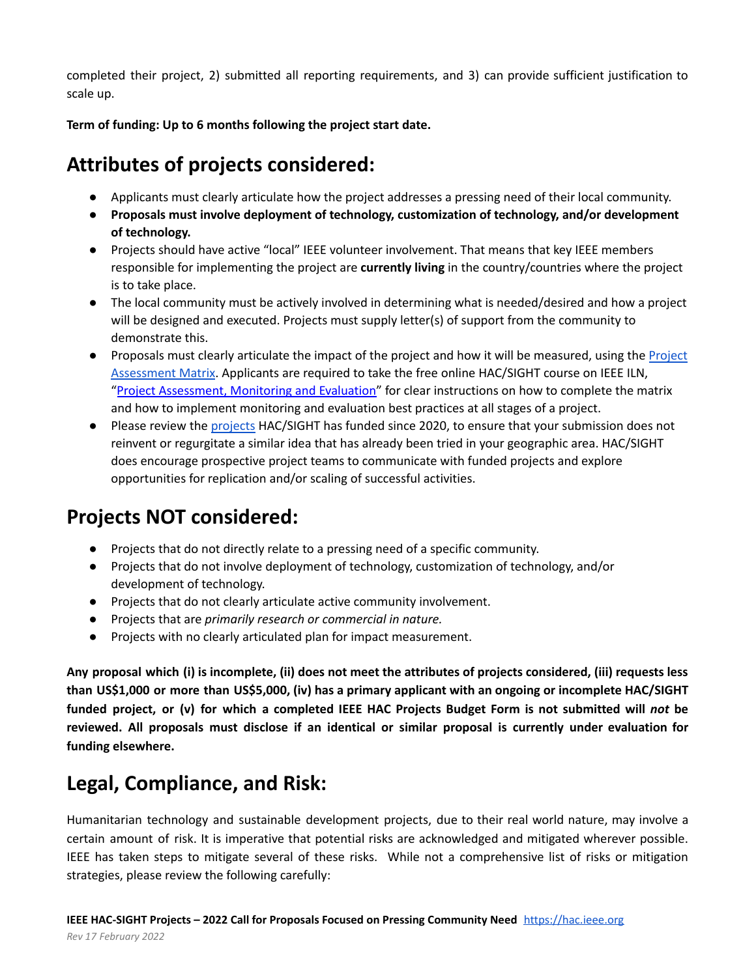completed their project, 2) submitted all reporting requirements, and 3) can provide sufficient justification to scale up.

**Term of funding: Up to 6 months following the project start date.**

# **Attributes of projects considered:**

- Applicants must clearly articulate how the project addresses a pressing need of their local community.
- **Proposals must involve deployment of technology, customization of technology, and/or development of technology.**
- Projects should have active "local" IEEE volunteer involvement. That means that key IEEE members responsible for implementing the project are **currently living** in the country/countries where the project is to take place.
- The local community must be actively involved in determining what is needed/desired and how a project will be designed and executed. Projects must supply letter(s) of support from the community to demonstrate this.
- Proposals must clearly articulate the impact of the project and how it will be measured, using the [Project](https://docs.google.com/spreadsheets/d/1CHMcyVRgoARrtNTvS3El9AKlUO_ufFMH/edit?usp=sharing&ouid=113615586756064665003&rtpof=true&sd=true,%20https://docs.google.com/spreadsheets/d/1uNWqhrCe6V-J2IHiXjQ8774dpv4BzLab/edit?usp=sharing&ouid=113615586756064665003&rtpof=true&sd=true) [Assessment](https://docs.google.com/spreadsheets/d/1CHMcyVRgoARrtNTvS3El9AKlUO_ufFMH/edit?usp=sharing&ouid=113615586756064665003&rtpof=true&sd=true,%20https://docs.google.com/spreadsheets/d/1uNWqhrCe6V-J2IHiXjQ8774dpv4BzLab/edit?usp=sharing&ouid=113615586756064665003&rtpof=true&sd=true) Matrix. Applicants are required to take the free online HAC/SIGHT course on IEEE ILN, "Project [Assessment,](https://iln.ieee.org/public/contentdetails.aspx?id=FF0759FA80F24542B76C79E0B73955F7) Monitoring and Evaluation" for clear instructions on how to complete the matrix and how to implement monitoring and evaluation best practices at all stages of a project.
- Please review the [projects](https://docs.google.com/spreadsheets/d/1VL3cr8R0nLBoERCeSfytfhweh9NUGe0LJANc0EYcPAc/edit?usp=sharing) HAC/SIGHT has funded since 2020, to ensure that your submission does not reinvent or regurgitate a similar idea that has already been tried in your geographic area. HAC/SIGHT does encourage prospective project teams to communicate with funded projects and explore opportunities for replication and/or scaling of successful activities.

# **Projects NOT considered:**

- Projects that do not directly relate to a pressing need of a specific community.
- Projects that do not involve deployment of technology, customization of technology, and/or development of technology.
- Projects that do not clearly articulate active community involvement.
- Projects that are *primarily research or commercial in nature.*
- Projects with no clearly articulated plan for impact measurement.

Any proposal which (i) is incomplete, (ii) does not meet the attributes of projects considered, (iii) requests less **than US\$1,000 or more than US\$5,000, (iv) has a primary applicant with an ongoing or incomplete HAC/SIGHT** funded project, or (v) for which a completed IEEE HAC Projects Budget Form is not submitted will not be **reviewed. All proposals must disclose if an identical or similar proposal is currently under evaluation for funding elsewhere.**

### **Legal, Compliance, and Risk:**

Humanitarian technology and sustainable development projects, due to their real world nature, may involve a certain amount of risk. It is imperative that potential risks are acknowledged and mitigated wherever possible. IEEE has taken steps to mitigate several of these risks. While not a comprehensive list of risks or mitigation strategies, please review the following carefully: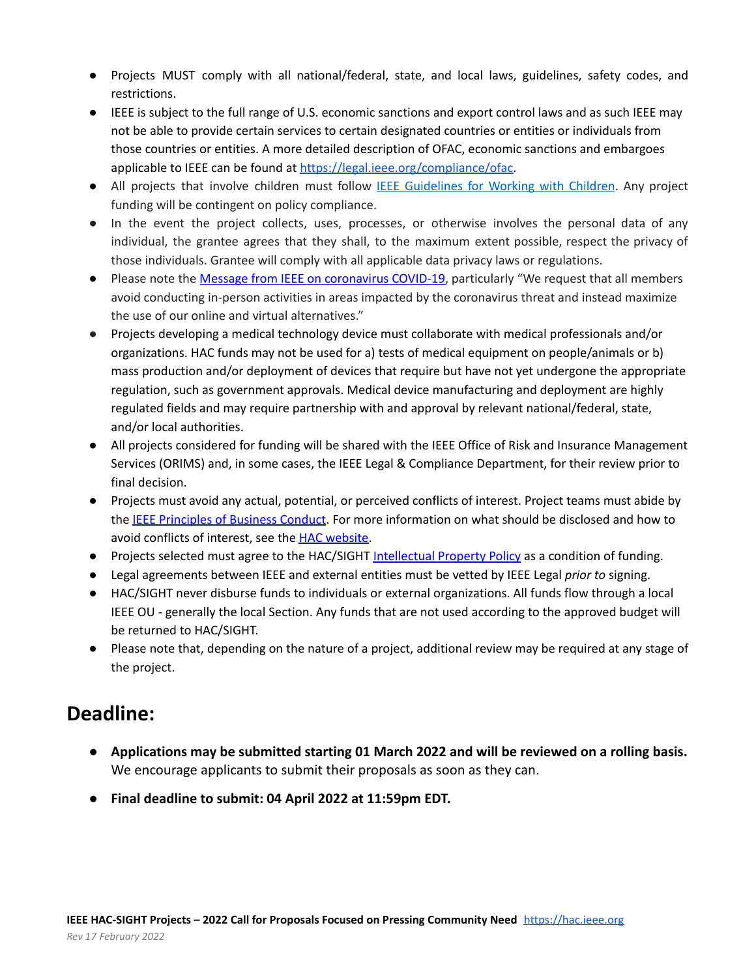- Projects MUST comply with all national/federal, state, and local laws, guidelines, safety codes, and restrictions.
- **●** IEEE is subject to the full range of U.S. economic sanctions and export control laws and as such IEEE may not be able to provide certain services to certain designated countries or entities or individuals from those countries or entities. A more detailed description of OFAC, economic sanctions and embargoes applicable to IEEE can be found at [https://legal.ieee.org/compliance/ofac.](https://legal.ieee.org/compliance/ofac)
- All projects that involve children must follow IEEE [Guidelines](https://www.ieee.org/about/volunteers/risk-insurance/ieee-activities-with-children.html) for Working with Children. Any project funding will be contingent on policy compliance.
- In the event the project collects, uses, processes, or otherwise involves the personal data of any individual, the grantee agrees that they shall, to the maximum extent possible, respect the privacy of those individuals. Grantee will comply with all applicable data privacy laws or regulations.
- Please note the Message from IEEE on [coronavirus](https://www.ieee.org/about/news/2020/message-on-covid-19.html?utm_source=dhtml_text&utm_medium=hp&utm_campaign=covid-19-service-alert) COVID-19, particularly "We request that all members avoid conducting in-person activities in areas impacted by the coronavirus threat and instead maximize the use of our online and virtual alternatives."
- **●** Projects developing a medical technology device must collaborate with medical professionals and/or organizations. HAC funds may not be used for a) tests of medical equipment on people/animals or b) mass production and/or deployment of devices that require but have not yet undergone the appropriate regulation, such as government approvals. Medical device manufacturing and deployment are highly regulated fields and may require partnership with and approval by relevant national/federal, state, and/or local authorities.
- All projects considered for funding will be shared with the IEEE Office of Risk and Insurance Management Services (ORIMS) and, in some cases, the IEEE Legal & Compliance Department, for their review prior to final decision.
- Projects must avoid any actual, potential, or perceived conflicts of interest. Project teams must abide by the IEEE [Principles](https://www.ieee.org/content/dam/ieee-org/ieee/web/org/audit/ieee-principles-of-business-conduct.pdf) of Business Conduct. For more information on what should be disclosed and how to avoid conflicts of interest, see the HAC [website.](https://hac.ieee.org/about/conflict-of-interest/)
- Projects selected must agree to the HAC/SIGHT [Intellectual](https://drive.google.com/file/d/1ahRqrX3MJTiqmIrhNlL1WJtPJqbUruIo/view?usp=sharing) Property Policy as a condition of funding.
- Legal agreements between IEEE and external entities must be vetted by IEEE Legal *prior to* signing.
- HAC/SIGHT never disburse funds to individuals or external organizations. All funds flow through a local IEEE OU - generally the local Section. Any funds that are not used according to the approved budget will be returned to HAC/SIGHT.
- Please note that, depending on the nature of a project, additional review may be required at any stage of the project.

### **Deadline:**

- **● Applications may be submitted starting 01 March 2022 and will be reviewed on a rolling basis.** We encourage applicants to submit their proposals as soon as they can.
- **● Final deadline to submit: 04 April 2022 at 11:59pm EDT.**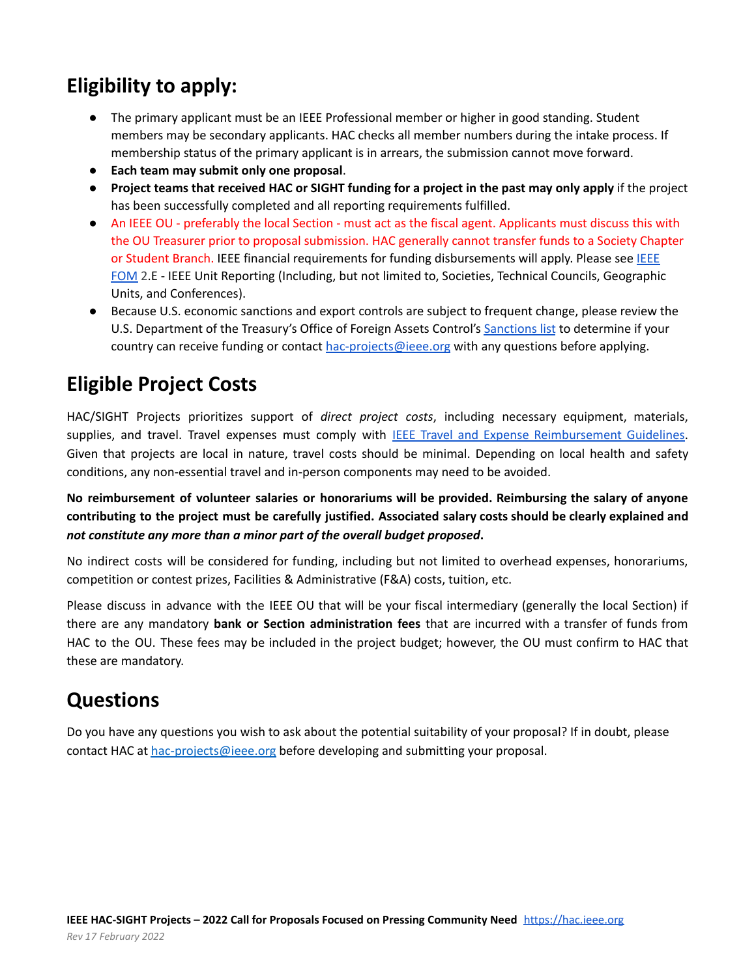# **Eligibility to apply:**

- The primary applicant must be an IEEE Professional member or higher in good standing. Student members may be secondary applicants. HAC checks all member numbers during the intake process. If membership status of the primary applicant is in arrears, the submission cannot move forward.
- **Each team may submit only one proposal**.
- Project teams that received HAC or SIGHT funding for a project in the past may only apply if the project has been successfully completed and all reporting requirements fulfilled.
- An IEEE OU preferably the local Section must act as the fiscal agent. Applicants must discuss this with the OU Treasurer prior to proposal submission. HAC generally cannot transfer funds to a Society Chapter or Student Branch. [IEEE](https://www.ieee.org/content/dam/ieee-org/ieee/web/org/financial-ops-manual.pdf) financial requirements for funding disbursements will apply. Please see IEEE [FOM](https://www.ieee.org/content/dam/ieee-org/ieee/web/org/financial-ops-manual.pdf) 2.E - IEEE Unit Reporting (Including, but not limited to, Societies, Technical Councils, Geographic Units, and Conferences).
- Because U.S. economic sanctions and export controls are subject to frequent change, please review the U.S. Department of the Treasury's Office of Foreign Assets Control's [Sanctions](https://www.treasury.gov/resource-center/sanctions/pages/default.aspx) list to determine if your country can receive funding or contact [hac-projects@ieee.org](mailto:hac-projects@ieee.org) with any questions before applying.

# **Eligible Project Costs**

HAC/SIGHT Projects prioritizes support of *direct project costs*, including necessary equipment, materials, supplies, and travel. Travel expenses must comply with IEEE Travel and Expense [Reimbursement](https://www.ieee.org/content/dam/ieee-org/ieee/web/org/travel-expense-reimbursement-guidelines.pdf) Guidelines. Given that projects are local in nature, travel costs should be minimal. Depending on local health and safety conditions, any non-essential travel and in-person components may need to be avoided.

**No reimbursement of volunteer salaries or honorariums will be provided. Reimbursing the salary of anyone contributing to the project must be carefully justified. Associated salary costs should be clearly explained and** *not constitute any more than a minor part of the overall budget proposed***.**

No indirect costs will be considered for funding, including but not limited to overhead expenses, honorariums, competition or contest prizes, Facilities & Administrative (F&A) costs, tuition, etc.

Please discuss in advance with the IEEE OU that will be your fiscal intermediary (generally the local Section) if there are any mandatory **bank or Section administration fees** that are incurred with a transfer of funds from HAC to the OU. These fees may be included in the project budget; however, the OU must confirm to HAC that these are mandatory.

# **Questions**

Do you have any questions you wish to ask about the potential suitability of your proposal? If in doubt, please contact HAC at [hac-projects@ieee.org](mailto:hac-projects@ieee.org) before developing and submitting your proposal.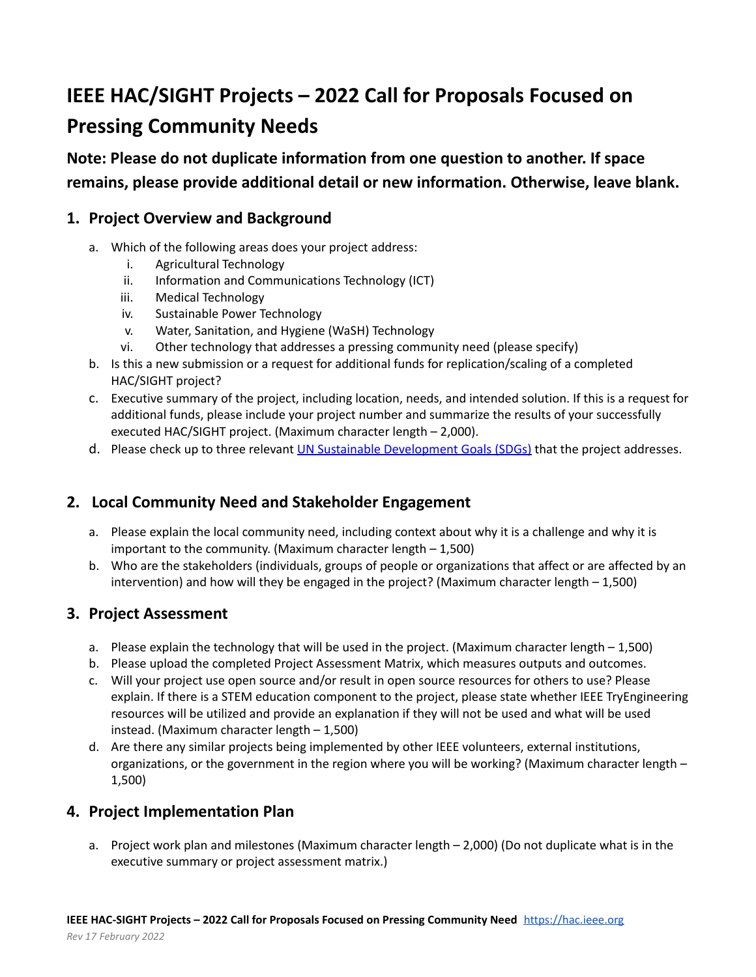# **IEEE HAC/SIGHT Projects – 2022 Call for Proposals Focused on Pressing Community Needs**

**Note: Please do not duplicate information from one question to another. If space remains, please provide additional detail or new information. Otherwise, leave blank.**

#### **1. Project Overview and Background**

- a. Which of the following areas does your project address:
	- i. Agricultural Technology
	- ii. Information and Communications Technology (ICT)
	- iii. Medical Technology
	- iv. Sustainable Power Technology
	- v. Water, Sanitation, and Hygiene (WaSH) Technology
	- vi. Other technology that addresses a pressing community need (please specify)
- b. Is this a new submission or a request for additional funds for replication/scaling of a completed HAC/SIGHT project?
- c. Executive summary of the project, including location, needs, and intended solution. If this is a request for additional funds, please include your project number and summarize the results of your successfully executed HAC/SIGHT project. (Maximum character length – 2,000).
- d. Please check up to three relevant UN Sustainable [Development](https://sdgs.un.org/goals) Goals (SDGs) that the project addresses.

#### **2. Local Community Need and Stakeholder Engagement**

- a. Please explain the local community need, including context about why it is a challenge and why it is important to the community. (Maximum character length – 1,500)
- b. Who are the stakeholders (individuals, groups of people or organizations that affect or are affected by an intervention) and how will they be engaged in the project? (Maximum character length – 1,500)

#### **3. Project Assessment**

- a. Please explain the technology that will be used in the project. (Maximum character length 1,500)
- b. Please upload the completed Project Assessment Matrix, which measures outputs and outcomes.
- c. Will your project use open source and/or result in open source resources for others to use? Please explain. If there is a STEM education component to the project, please state whether IEEE TryEngineering resources will be utilized and provide an explanation if they will not be used and what will be used instead. (Maximum character length – 1,500)
- d. Are there any similar projects being implemented by other IEEE volunteers, external institutions, organizations, or the government in the region where you will be working? (Maximum character length – 1,500)

#### **4. Project Implementation Plan**

a. Project work plan and milestones (Maximum character length – 2,000) (Do not duplicate what is in the executive summary or project assessment matrix.)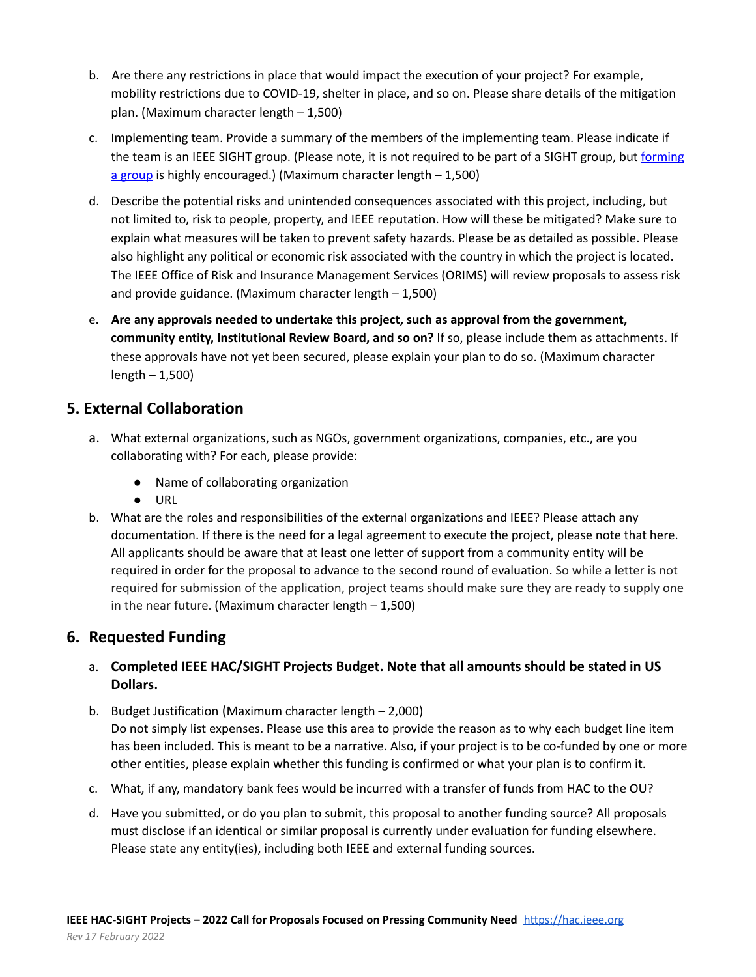- b. Are there any restrictions in place that would impact the execution of your project? For example, mobility restrictions due to COVID-19, shelter in place, and so on. Please share details of the mitigation plan. (Maximum character length – 1,500)
- c. Implementing team. Provide a summary of the members of the implementing team. Please indicate if the team is an IEEE SIGHT group. (Please note, it is not required to be part of a SIGHT group, but [forming](http://ieee-sight-toolkit.org/start/) a [group](http://ieee-sight-toolkit.org/start/) is highly encouraged.) (Maximum character length - 1,500)
- d. Describe the potential risks and unintended consequences associated with this project, including, but not limited to, risk to people, property, and IEEE reputation. How will these be mitigated? Make sure to explain what measures will be taken to prevent safety hazards. Please be as detailed as possible. Please also highlight any political or economic risk associated with the country in which the project is located. The IEEE Office of Risk and Insurance Management Services (ORIMS) will review proposals to assess risk and provide guidance. (Maximum character length – 1,500)
- e. **Are any approvals needed to undertake this project, such as approval from the government, community entity, Institutional Review Board, and so on?** If so, please include them as attachments. If these approvals have not yet been secured, please explain your plan to do so. (Maximum character length – 1,500)

#### **5. External Collaboration**

- a. What external organizations, such as NGOs, government organizations, companies, etc., are you collaborating with? For each, please provide:
	- Name of collaborating organization
	- URL
- b. What are the roles and responsibilities of the external organizations and IEEE? Please attach any documentation. If there is the need for a legal agreement to execute the project, please note that here. All applicants should be aware that at least one letter of support from a community entity will be required in order for the proposal to advance to the second round of evaluation. So while a letter is not required for submission of the application, project teams should make sure they are ready to supply one in the near future. (Maximum character length  $-1,500$ )

#### **6. Requested Funding**

#### a. **Completed IEEE HAC/SIGHT Projects Budget. Note that all amounts should be stated in US Dollars.**

- b. Budget Justification (Maximum character length 2,000) Do not simply list expenses. Please use this area to provide the reason as to why each budget line item has been included. This is meant to be a narrative. Also, if your project is to be co-funded by one or more other entities, please explain whether this funding is confirmed or what your plan is to confirm it.
- c. What, if any, mandatory bank fees would be incurred with a transfer of funds from HAC to the OU?
- d. Have you submitted, or do you plan to submit, this proposal to another funding source? All proposals must disclose if an identical or similar proposal is currently under evaluation for funding elsewhere. Please state any entity(ies), including both IEEE and external funding sources.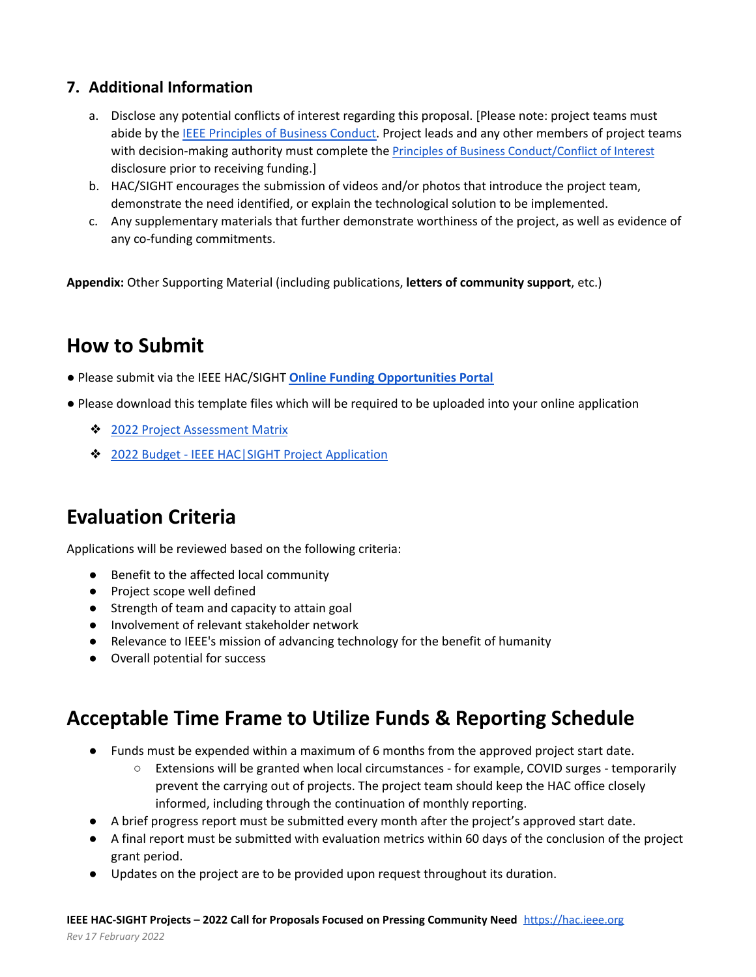#### **7. Additional Information**

- a. Disclose any potential conflicts of interest regarding this proposal. [Please note: project teams must abide by the [IEEE Principles of Business Conduct.](https://www.ieee.org/content/dam/ieee-org/ieee/web/org/audit/ieee-principles-of-business-conduct.pdf) Project leads and any other members of project teams with decision-making authority must complete the [Principles of Business Conduct/Conflict of Interest](https://www.ieee.org/about/compliance/conflict-of-interest/index.html) disclosure prior to receiving funding.]
- b. HAC/SIGHT encourages the submission of videos and/or photos that introduce the project team, demonstrate the need identified, or explain the technological solution to be implemented.
- c. Any supplementary materials that further demonstrate worthiness of the project, as well as evidence of any co-funding commitments.

**Appendix:** Other Supporting Material (including publications, **letters of community support**, etc.)

### **How to Submit**

- Please submit via the IEEE HAC/SIGHT **[Online Funding Opportunities Portal](https://www.grantinterface.com/Home/Logon?urlkey=ieeecorporate)**
- Please download this template files which will be required to be uploaded into your online application
	- ❖ [2022 Project Assessment Matrix](https://docs.google.com/spreadsheets/d/1CHMcyVRgoARrtNTvS3El9AKlUO_ufFMH/edit?usp=sharing&ouid=113615586756064665003&rtpof=true&sd=true,%20https://docs.google.com/spreadsheets/d/1uNWqhrCe6V-J2IHiXjQ8774dpv4BzLab/edit?usp=sharing&ouid=113615586756064665003&rtpof=true&sd=true)
	- ❖ [2022 Budget IEEE HAC|SIGHT Project Application](https://docs.google.com/spreadsheets/d/1uNWqhrCe6V-J2IHiXjQ8774dpv4BzLab/edit?usp=sharing&ouid=113615586756064665003&rtpof=true&sd=true)

### **Evaluation Criteria**

Applications will be reviewed based on the following criteria:

- Benefit to the affected local community
- Project scope well defined
- Strength of team and capacity to attain goal
- Involvement of relevant stakeholder network
- Relevance to IEEE's mission of advancing technology for the benefit of humanity
- Overall potential for success

### **Acceptable Time Frame to Utilize Funds & Reporting Schedule**

- Funds must be expended within a maximum of 6 months from the approved project start date.
	- Extensions will be granted when local circumstances for example, COVID surges temporarily prevent the carrying out of projects. The project team should keep the HAC office closely informed, including through the continuation of monthly reporting.
- A brief progress report must be submitted every month after the project's approved start date.
- A final report must be submitted with evaluation metrics within 60 days of the conclusion of the project grant period.
- Updates on the project are to be provided upon request throughout its duration.